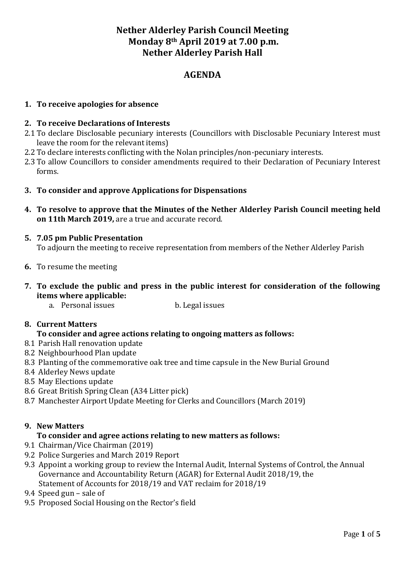# **Nether Alderley Parish Council Meeting Monday 8th April 2019 at 7.00 p.m. Nether Alderley Parish Hall**

## **AGENDA**

## **1. To receive apologies for absence**

### **2. To receive Declarations of Interests**

- 2.1 To declare Disclosable pecuniary interests (Councillors with Disclosable Pecuniary Interest must leave the room for the relevant items)
- 2.2 To declare interests conflicting with the Nolan principles/non-pecuniary interests.
- 2.3 To allow Councillors to consider amendments required to their Declaration of Pecuniary Interest forms.
- **3. To consider and approve Applications for Dispensations**
- **4. To resolve to approve that the Minutes of the Nether Alderley Parish Council meeting held on 11th March 2019,** are a true and accurate record.

#### **5. 7.05 pm Public Presentation**

To adjourn the meeting to receive representation from members of the Nether Alderley Parish

- **6.** To resume the meeting
- **7. To exclude the public and press in the public interest for consideration of the following items where applicable:**
	- a. Personal issues b. Legal issues

#### **8. Current Matters**

### **To consider and agree actions relating to ongoing matters as follows:**

- 8.1 Parish Hall renovation update
- 8.2 Neighbourhood Plan update
- 8.3 Planting of the commemorative oak tree and time capsule in the New Burial Ground
- 8.4 Alderley News update
- 8.5 May Elections update
- 8.6 Great British Spring Clean (A34 Litter pick)
- 8.7 Manchester Airport Update Meeting for Clerks and Councillors (March 2019)

### **9. New Matters**

#### **To consider and agree actions relating to new matters as follows:**

- 9.1 Chairman/Vice Chairman (2019)
- 9.2 Police Surgeries and March 2019 Report
- 9.3 Appoint a working group to review the Internal Audit, Internal Systems of Control, the Annual Governance and Accountability Return (AGAR) for External Audit 2018/19, the Statement of Accounts for 2018/19 and VAT reclaim for 2018/19
- 9.4 Speed gun sale of
- 9.5 Proposed Social Housing on the Rector's field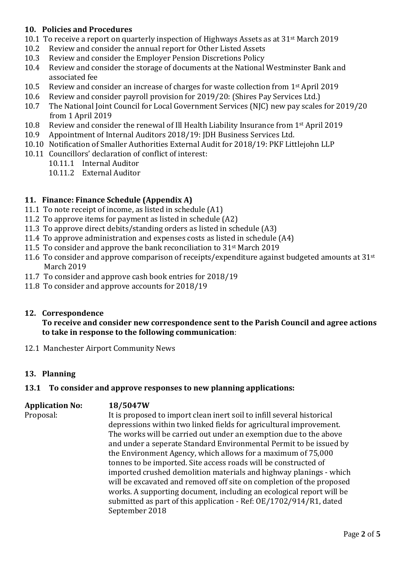## **10. Policies and Procedures**

- 10.1 To receive a report on quarterly inspection of Highways Assets as at 31<sup>st</sup> March 2019
- 10.2 Review and consider the annual report for Other Listed Assets
- 10.3 Review and consider the Employer Pension Discretions Policy
- 10.4 Review and consider the storage of documents at the National Westminster Bank and associated fee
- 10.5 Review and consider an increase of charges for waste collection from 1st April 2019
- 10.6 Review and consider payroll provision for 2019/20: (Shires Pay Services Ltd.)
- 10.7 The National Joint Council for Local Government Services (NJC) new pay scales for 2019/20 from 1 April 2019
- 10.8 Review and consider the renewal of Ill Health Liability Insurance from 1st April 2019
- 10.9 Appointment of Internal Auditors 2018/19: JDH Business Services Ltd.
- 10.10 Notification of Smaller Authorities External Audit for 2018/19: PKF Littlejohn LLP
- 10.11 Councillors' declaration of conflict of interest:
	- 10.11.1 Internal Auditor
		- 10.11.2 External Auditor

## **11. Finance: Finance Schedule (Appendix A)**

- 11.1 To note receipt of income, as listed in schedule (A1)
- 11.2 To approve items for payment as listed in schedule (A2)
- 11.3 To approve direct debits/standing orders as listed in schedule (A3)
- 11.4 To approve administration and expenses costs as listed in schedule (A4)
- 11.5 To consider and approve the bank reconciliation to 31st March 2019
- 11.6 To consider and approve comparison of receipts/expenditure against budgeted amounts at  $31^{st}$ March 2019
- 11.7 To consider and approve cash book entries for 2018/19
- 11.8 To consider and approve accounts for 2018/19

### **12. Correspondence**

### **To receive and consider new correspondence sent to the Parish Council and agree actions to take in response to the following communication**:

12.1 Manchester Airport Community News

### **13. Planning**

### **13.1 To consider and approve responses to new planning applications:**

**Application No: 18/5047W** Proposal: It is proposed to import clean inert soil to infill several historical depressions within two linked fields for agricultural improvement. The works will be carried out under an exemption due to the above and under a seperate Standard Environmental Permit to be issued by the Environment Agency, which allows for a maximum of 75,000 tonnes to be imported. Site access roads will be constructed of imported crushed demolition materials and highway planings - which will be excavated and removed off site on completion of the proposed works. A supporting document, including an ecological report will be submitted as part of this application - Ref: OE/1702/914/R1, dated September 2018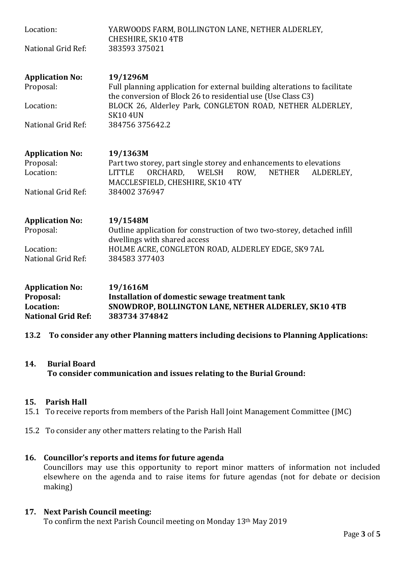| Location:<br>National Grid Ref:                                               | YARWOODS FARM, BOLLINGTON LANE, NETHER ALDERLEY,<br>CHESHIRE, SK10 4TB<br>383593 375021                                                                                                                                                                 |  |
|-------------------------------------------------------------------------------|---------------------------------------------------------------------------------------------------------------------------------------------------------------------------------------------------------------------------------------------------------|--|
| <b>Application No:</b><br>Proposal:<br>Location:<br>National Grid Ref:        | 19/1296M<br>Full planning application for external building alterations to facilitate<br>the conversion of Block 26 to residential use (Use Class C3)<br>BLOCK 26, Alderley Park, CONGLETON ROAD, NETHER ALDERLEY,<br><b>SK10 4UN</b><br>384756375642.2 |  |
| <b>Application No:</b><br>Proposal:<br>Location:<br>National Grid Ref:        | 19/1363M<br>Part two storey, part single storey and enhancements to elevations<br>ORCHARD,<br>ROW.<br>WELSH<br><b>NETHER</b><br><b>LITTLE</b><br>ALDERLEY,<br>MACCLESFIELD, CHESHIRE, SK10 4TY<br>384002 376947                                         |  |
| <b>Application No:</b><br>Proposal:<br>Location:<br>National Grid Ref:        | 19/1548M<br>Outline application for construction of two two-storey, detached infill<br>dwellings with shared access<br>HOLME ACRE, CONGLETON ROAD, ALDERLEY EDGE, SK9 7AL<br>384583 377403                                                              |  |
| <b>Application No:</b><br>Proposal:<br>Location:<br><b>National Grid Ref:</b> | 19/1616M<br>Installation of domestic sewage treatment tank<br>SNOWDROP, BOLLINGTON LANE, NETHER ALDERLEY, SK10 4TB<br>383734374842                                                                                                                      |  |

**13.2 To consider any other Planning matters including decisions to Planning Applications:**

### **14. Burial Board To consider communication and issues relating to the Burial Ground:**

### **15. Parish Hall**

- 15.1 To receive reports from members of the Parish Hall Joint Management Committee (JMC)
- 15.2 To consider any other matters relating to the Parish Hall

#### **16. Councillor's reports and items for future agenda**

Councillors may use this opportunity to report minor matters of information not included elsewhere on the agenda and to raise items for future agendas (not for debate or decision making)

#### **17. Next Parish Council meeting:**

To confirm the next Parish Council meeting on Monday 13th May 2019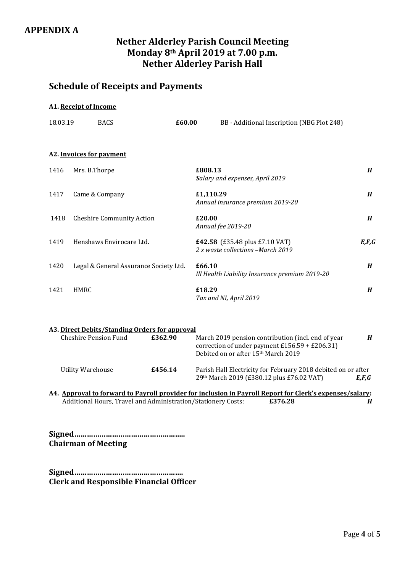# **Nether Alderley Parish Council Meeting Monday 8th April 2019 at 7.00 p.m. Nether Alderley Parish Hall**

# **Schedule of Receipts and Payments**

#### **A1. Receipt of Income**

| 18.03.19 | <b>BACS</b>                            | £60.00 | BB - Additional Inscription (NBG Plot 248)                          |                  |
|----------|----------------------------------------|--------|---------------------------------------------------------------------|------------------|
|          | A2. Invoices for payment               |        |                                                                     |                  |
| 1416     | Mrs. B.Thorpe                          |        | £808.13<br>Salary and expenses, April 2019                          | H                |
| 1417     | Came & Company                         |        | £1,110.29<br>Annual insurance premium 2019-20                       | $\boldsymbol{H}$ |
| 1418     | <b>Cheshire Community Action</b>       | £20.00 | Annual fee 2019-20                                                  | H                |
| 1419     | Henshaws Envirocare Ltd.               |        | £42.58 (£35.48 plus £7.10 VAT)<br>2 x waste collections -March 2019 | E, F, G          |
| 1420     | Legal & General Assurance Society Ltd. | £66.10 | Ill Health Liability Insurance premium 2019-20                      | H                |
| 1421     | <b>HMRC</b>                            | £18.29 | Tax and NI, April 2019                                              | H                |
|          |                                        |        |                                                                     |                  |

| A3. Direct Debits/Standing Orders for approval |         |                                                                                                                                                          |       |
|------------------------------------------------|---------|----------------------------------------------------------------------------------------------------------------------------------------------------------|-------|
| Cheshire Pension Fund                          | £362.90 | March 2019 pension contribution (incl. end of year<br>correction of under payment $£156.59 + £206.31$<br>Debited on or after 15 <sup>th</sup> March 2019 | H     |
| Utility Warehouse                              | £456.14 | Parish Hall Electricity for February 2018 debited on or after<br>29th March 2019 (£380.12 plus £76.02 VAT)                                               | E.F.G |

**A4. Approval to forward to Payroll provider for inclusion in Payroll Report for Clerk's expenses/salary:** Additional Hours, Travel and Administration/Stationery Costs: **£376.28** *H*

**Signed…………………………………………….. Chairman of Meeting**

**Signed……………………………………………. Clerk and Responsible Financial Officer**